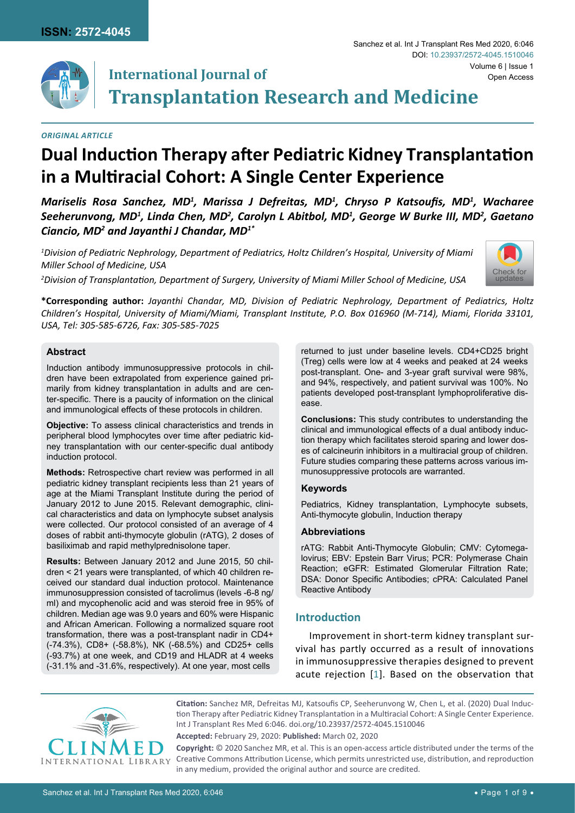

#### *Original Article*

# **Dual Induction Therapy after Pediatric Kidney Transplantation in a Multiracial Cohort: A Single Center Experience**

*Mariselis Rosa Sanchez, MD1 , Marissa J Defreitas, MD1 , Chryso P Katsoufis, MD<sup>1</sup> , Wacharee Seeherunvong, MD1 , Linda Chen, MD2 , Carolyn L Abitbol, MD1 , George W Burke III, MD2 , Gaetano Ciancio, MD2 and Jayanthi J Chandar, MD1\**

*1 Division of Pediatric Nephrology, Department of Pediatrics, Holtz Children's Hospital, University of Miami Miller School of Medicine, USA*

*2 Division of Transplantation, Department of Surgery, University of Miami Miller School of Medicine, USA*



**\*Corresponding author:** *Jayanthi Chandar, MD, Division of Pediatric Nephrology, Department of Pediatrics, Holtz Children's Hospital, University of Miami/Miami, Transplant Institute, P.O. Box 016960 (M-714), Miami, Florida 33101, USA, Tel: 305-585-6726, Fax: 305-585-7025*

#### **Abstract**

Induction antibody immunosuppressive protocols in children have been extrapolated from experience gained primarily from kidney transplantation in adults and are center-specific. There is a paucity of information on the clinical and immunological effects of these protocols in children.

**Objective:** To assess clinical characteristics and trends in peripheral blood lymphocytes over time after pediatric kidney transplantation with our center-specific dual antibody induction protocol.

**Methods:** Retrospective chart review was performed in all pediatric kidney transplant recipients less than 21 years of age at the Miami Transplant Institute during the period of January 2012 to June 2015. Relevant demographic, clinical characteristics and data on lymphocyte subset analysis were collected. Our protocol consisted of an average of 4 doses of rabbit anti-thymocyte globulin (rATG), 2 doses of basiliximab and rapid methylprednisolone taper.

**Results:** Between January 2012 and June 2015, 50 children < 21 years were transplanted, of which 40 children received our standard dual induction protocol. Maintenance immunosuppression consisted of tacrolimus (levels -6-8 ng/ ml) and mycophenolic acid and was steroid free in 95% of children. Median age was 9.0 years and 60% were Hispanic and African American. Following a normalized square root transformation, there was a post-transplant nadir in CD4+ (-74.3%), CD8+ (-58.8%), NK (-68.5%) and CD25+ cells (-93.7%) at one week, and CD19 and HLADR at 4 weeks (-31.1% and -31.6%, respectively). At one year, most cells

returned to just under baseline levels. CD4+CD25 bright (Treg) cells were low at 4 weeks and peaked at 24 weeks post-transplant. One- and 3-year graft survival were 98%, and 94%, respectively, and patient survival was 100%. No patients developed post-transplant lymphoproliferative disease.

Sanchez et al. Int J Transplant Res Med 2020, 6:046

**Conclusions:** This study contributes to understanding the clinical and immunological effects of a dual antibody induction therapy which facilitates steroid sparing and lower doses of calcineurin inhibitors in a multiracial group of children. Future studies comparing these patterns across various immunosuppressive protocols are warranted.

#### **Keywords**

Pediatrics, Kidney transplantation, Lymphocyte subsets, Anti-thymocyte globulin, Induction therapy

#### **Abbreviations**

rATG: Rabbit Anti-Thymocyte Globulin; CMV: Cytomegalovirus; EBV: Epstein Barr Virus; PCR: Polymerase Chain Reaction; eGFR: Estimated Glomerular Filtration Rate; DSA: Donor Specific Antibodies; cPRA: Calculated Panel Reactive Antibody

### **Introduction**

Improvement in short-term kidney transplant survival has partly occurred as a result of innovations in immunosuppressive therapies designed to prevent acute rejection [[1\]](#page-7-0). Based on the observation that



**Citation:** Sanchez MR, Defreitas MJ, Katsoufis CP, Seeherunvong W, Chen L, et al. (2020) Dual Induction Therapy after Pediatric Kidney Transplantation in a Multiracial Cohort: A Single Center Experience. Int J Transplant Res Med 6:046. [doi.org/10.23937/2572-4045.1510046](https://doi.org/10.23937/2572-4045.1510046)

**Accepted:** February 29, 2020: **Published:** March 02, 2020

**Copyright:** © 2020 Sanchez MR, et al. This is an open-access article distributed under the terms of the Creative Commons Attribution License, which permits unrestricted use, distribution, and reproduction in any medium, provided the original author and source are credited.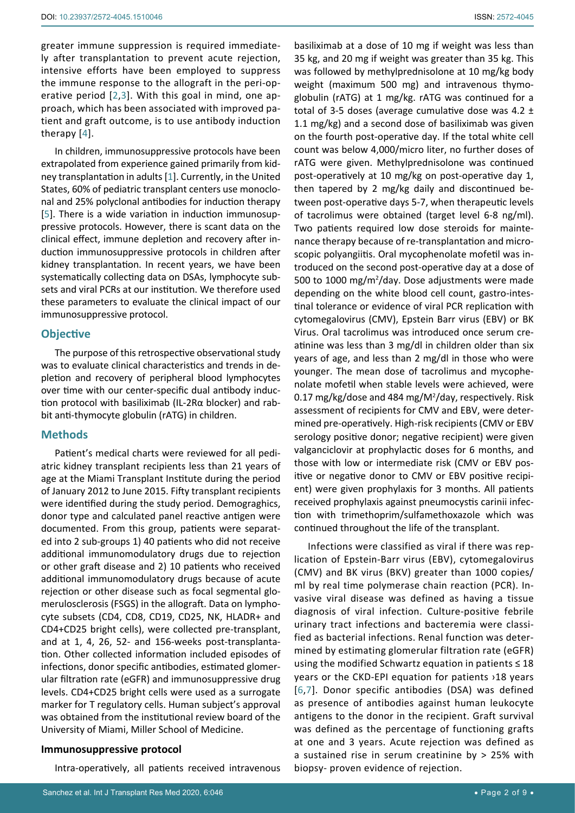greater immune suppression is required immediately after transplantation to prevent acute rejection, intensive efforts have been employed to suppress the immune response to the allograft in the peri-operative period [[2](#page-7-3),[3](#page-7-4)]. With this goal in mind, one approach, which has been associated with improved patient and graft outcome, is to use antibody induction therapy [[4\]](#page-7-5).

In children, immunosuppressive protocols have been extrapolated from experience gained primarily from kidney transplantation in adults [[1](#page-7-0)]. Currently, in the United States, 60% of pediatric transplant centers use monoclonal and 25% polyclonal antibodies for induction therapy [[5](#page-7-6)]. There is a wide variation in induction immunosuppressive protocols. However, there is scant data on the clinical effect, immune depletion and recovery after induction immunosuppressive protocols in children after kidney transplantation. In recent years, we have been systematically collecting data on DSAs, lymphocyte subsets and viral PCRs at our institution. We therefore used these parameters to evaluate the clinical impact of our immunosuppressive protocol.

### **Objective**

The purpose of this retrospective observational study was to evaluate clinical characteristics and trends in depletion and recovery of peripheral blood lymphocytes over time with our center-specific dual antibody induction protocol with basiliximab (IL-2Rα blocker) and rabbit anti-thymocyte globulin (rATG) in children.

# **Methods**

Patient's medical charts were reviewed for all pediatric kidney transplant recipients less than 21 years of age at the Miami Transplant Institute during the period of January 2012 to June 2015. Fifty transplant recipients were identified during the study period. Demograghics, donor type and calculated panel reactive antigen were documented. From this group, patients were separated into 2 sub-groups 1) 40 patients who did not receive additional immunomodulatory drugs due to rejection or other graft disease and 2) 10 patients who received additional immunomodulatory drugs because of acute rejection or other disease such as focal segmental glomerulosclerosis (FSGS) in the allograft. Data on lymphocyte subsets (CD4, CD8, CD19, CD25, NK, HLADR+ and CD4+CD25 bright cells), were collected pre-transplant, and at 1, 4, 26, 52- and 156-weeks post-transplantation. Other collected information included episodes of infections, donor specific antibodies, estimated glomerular filtration rate (eGFR) and immunosuppressive drug levels. CD4+CD25 bright cells were used as a surrogate marker for T regulatory cells. Human subject's approval was obtained from the institutional review board of the University of Miami, Miller School of Medicine.

#### **Immunosuppressive protocol**

Intra-operatively, all patients received intravenous

basiliximab at a dose of 10 mg if weight was less than 35 kg, and 20 mg if weight was greater than 35 kg. This was followed by methylprednisolone at 10 mg/kg body weight (maximum 500 mg) and intravenous thymoglobulin (rATG) at 1 mg/kg. rATG was continued for a total of 3-5 doses (average cumulative dose was 4.2  $\pm$ 1.1 mg/kg) and a second dose of basiliximab was given on the fourth post-operative day. If the total white cell count was below 4,000/micro liter, no further doses of rATG were given. Methylprednisolone was continued post-operatively at 10 mg/kg on post-operative day 1, then tapered by 2 mg/kg daily and discontinued between post-operative days 5-7, when therapeutic levels of tacrolimus were obtained (target level 6-8 ng/ml). Two patients required low dose steroids for maintenance therapy because of re-transplantation and microscopic polyangiitis. Oral mycophenolate mofetil was introduced on the second post-operative day at a dose of 500 to 1000 mg/ $m^2$ /day. Dose adjustments were made depending on the white blood cell count, gastro-intestinal tolerance or evidence of viral PCR replication with cytomegalovirus (CMV), Epstein Barr virus (EBV) or BK Virus. Oral tacrolimus was introduced once serum creatinine was less than 3 mg/dl in children older than six years of age, and less than 2 mg/dl in those who were younger. The mean dose of tacrolimus and mycophenolate mofetil when stable levels were achieved, were 0.17 mg/kg/dose and 484 mg/M<sup>2</sup>/day, respectively. Risk assessment of recipients for CMV and EBV, were determined pre-operatively. High-risk recipients (CMV or EBV serology positive donor; negative recipient) were given valganciclovir at prophylactic doses for 6 months, and those with low or intermediate risk (CMV or EBV positive or negative donor to CMV or EBV positive recipient) were given prophylaxis for 3 months. All patients received prophylaxis against pneumocystis carinii infection with trimethoprim/sulfamethoxazole which was continued throughout the life of the transplant.

Infections were classified as viral if there was replication of Epstein-Barr virus (EBV), cytomegalovirus (CMV) and BK virus (BKV) greater than 1000 copies/ ml by real time polymerase chain reaction (PCR). Invasive viral disease was defined as having a tissue diagnosis of viral infection. Culture-positive febrile urinary tract infections and bacteremia were classified as bacterial infections. Renal function was determined by estimating glomerular filtration rate (eGFR) using the modified Schwartz equation in patients  $\leq 18$ years or the CKD-EPI equation for patients ›18 years [[6](#page-7-1),[7\]](#page-7-2). Donor specific antibodies (DSA) was defined as presence of antibodies against human leukocyte antigens to the donor in the recipient. Graft survival was defined as the percentage of functioning grafts at one and 3 years. Acute rejection was defined as a sustained rise in serum creatinine by > 25% with biopsy- proven evidence of rejection.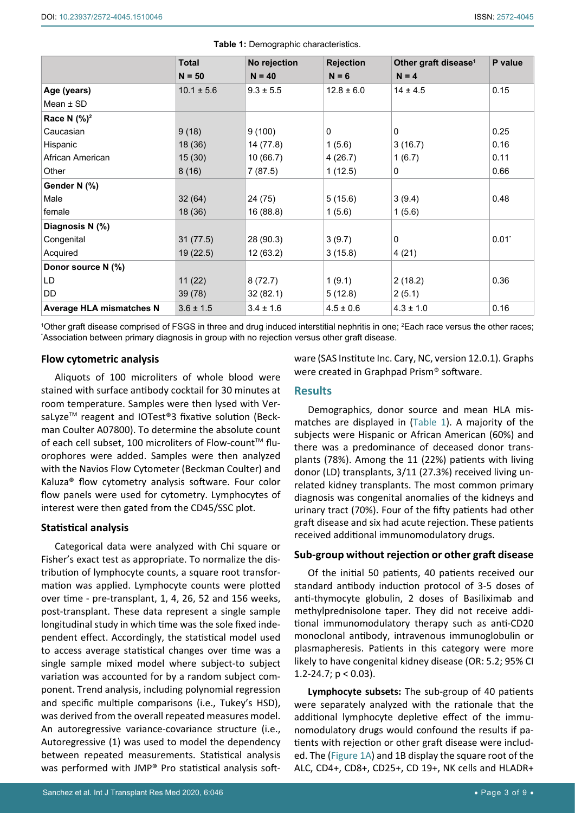|                                 | <b>Total</b>   | No rejection  | <b>Rejection</b> | Other graft disease <sup>1</sup> | P value  |
|---------------------------------|----------------|---------------|------------------|----------------------------------|----------|
|                                 | $N = 50$       | $N = 40$      | $N = 6$          | $N = 4$                          |          |
| Age (years)                     | $10.1 \pm 5.6$ | $9.3 \pm 5.5$ | $12.8 \pm 6.0$   | $14 \pm 4.5$                     | 0.15     |
| Mean $\pm$ SD                   |                |               |                  |                                  |          |
| Race N (%) <sup>2</sup>         |                |               |                  |                                  |          |
| Caucasian                       | 9(18)          | 9(100)        | 0                | $\mathbf{0}$                     | 0.25     |
| Hispanic                        | 18 (36)        | 14 (77.8)     | 1(5.6)           | 3(16.7)                          | 0.16     |
| African American                | 15(30)         | 10(66.7)      | 4(26.7)          | 1(6.7)                           | 0.11     |
| Other                           | 8(16)          | 7(87.5)       | 1(12.5)          | $\mathbf{0}$                     | 0.66     |
| Gender N (%)                    |                |               |                  |                                  |          |
| Male                            | 32(64)         | 24 (75)       | 5(15.6)          | 3(9.4)                           | 0.48     |
| female                          | 18 (36)        | 16 (88.8)     | 1(5.6)           | 1(5.6)                           |          |
| Diagnosis N (%)                 |                |               |                  |                                  |          |
| Congenital                      | 31(77.5)       | 28 (90.3)     | 3(9.7)           | 0                                | $0.01^*$ |
| Acquired                        | 19(22.5)       | 12(63.2)      | 3(15.8)          | 4(21)                            |          |
| Donor source N (%)              |                |               |                  |                                  |          |
| LD                              | 11(22)         | 8(72.7)       | 1(9.1)           | 2(18.2)                          | 0.36     |
| <b>DD</b>                       | 39 (78)        | 32(82.1)      | 5(12.8)          | 2(5.1)                           |          |
| <b>Average HLA mismatches N</b> | $3.6 \pm 1.5$  | $3.4 \pm 1.6$ | $4.5 \pm 0.6$    | $4.3 \pm 1.0$                    | 0.16     |

<span id="page-2-0"></span>**Table 1:** Demographic characteristics.

1 Other graft disease comprised of FSGS in three and drug induced interstitial nephritis in one; <sup>2</sup> Each race versus the other races; \* Association between primary diagnosis in group with no rejection versus other graft disease.

#### **Flow cytometric analysis**

Aliquots of 100 microliters of whole blood were stained with surface antibody cocktail for 30 minutes at room temperature. Samples were then lysed with VersaLyze™ reagent and IOTest®3 fixative solution (Beckman Coulter A07800). To determine the absolute count of each cell subset, 100 microliters of Flow-count™ fluorophores were added. Samples were then analyzed with the Navios Flow Cytometer (Beckman Coulter) and Kaluza® flow cytometry analysis software. Four color flow panels were used for cytometry. Lymphocytes of interest were then gated from the CD45/SSC plot.

# **Statistical analysis**

Categorical data were analyzed with Chi square or Fisher's exact test as appropriate. To normalize the distribution of lymphocyte counts, a square root transformation was applied. Lymphocyte counts were plotted over time - pre-transplant, 1, 4, 26, 52 and 156 weeks, post-transplant. These data represent a single sample longitudinal study in which time was the sole fixed independent effect. Accordingly, the statistical model used to access average statistical changes over time was a single sample mixed model where subject-to subject variation was accounted for by a random subject component. Trend analysis, including polynomial regression and specific multiple comparisons (i.e., Tukey's HSD), was derived from the overall repeated measures model. An autoregressive variance-covariance structure (i.e., Autoregressive (1) was used to model the dependency between repeated measurements. Statistical analysis was performed with JMP® Pro statistical analysis software (SAS Institute Inc. Cary, NC, version 12.0.1). Graphs were created in Graphpad Prism® software.

### **Results**

Demographics, donor source and mean HLA mismatches are displayed in ([Table 1](#page-2-0)). A majority of the subjects were Hispanic or African American (60%) and there was a predominance of deceased donor transplants (78%). Among the 11 (22%) patients with living donor (LD) transplants, 3/11 (27.3%) received living unrelated kidney transplants. The most common primary diagnosis was congenital anomalies of the kidneys and urinary tract (70%). Four of the fifty patients had other graft disease and six had acute rejection. These patients received additional immunomodulatory drugs.

### **Sub-group without rejection or other graft disease**

Of the initial 50 patients, 40 patients received our standard antibody induction protocol of 3-5 doses of anti-thymocyte globulin, 2 doses of Basiliximab and methylprednisolone taper. They did not receive additional immunomodulatory therapy such as anti-CD20 monoclonal antibody, intravenous immunoglobulin or plasmapheresis. Patients in this category were more likely to have congenital kidney disease (OR: 5.2; 95% CI 1.2-24.7;  $p < 0.03$ ).

**Lymphocyte subsets:** The sub-group of 40 patients were separately analyzed with the rationale that the additional lymphocyte depletive effect of the immunomodulatory drugs would confound the results if patients with rejection or other graft disease were included. The ([Figure 1A\)](#page-3-0) and 1B display the square root of the ALC, CD4+, CD8+, CD25+, CD 19+, NK cells and HLADR+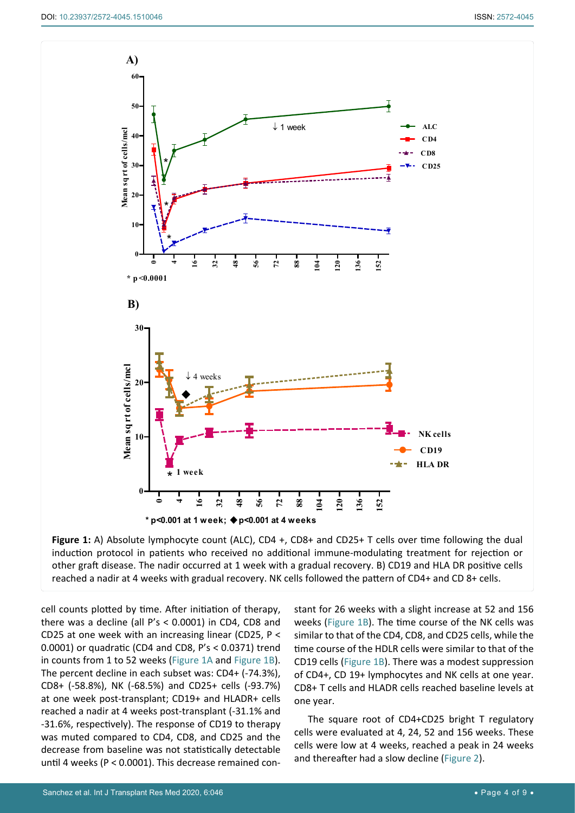<span id="page-3-0"></span>

**Figure 1:** A) Absolute lymphocyte count (ALC), CD4 +, CD8+ and CD25+ T cells over time following the dual induction protocol in patients who received no additional immune-modulating treatment for rejection or other graft disease. The nadir occurred at 1 week with a gradual recovery. B) CD19 and HLA DR positive cells reached a nadir at 4 weeks with gradual recovery. NK cells followed the pattern of CD4+ and CD 8+ cells.

cell counts plotted by time. After initiation of therapy, there was a decline (all P's < 0.0001) in CD4, CD8 and CD25 at one week with an increasing linear (CD25, P < 0.0001) or quadratic (CD4 and CD8, P's < 0.0371) trend in counts from 1 to 52 weeks [\(Figure 1A](#page-3-0) and [Figure 1B](#page-3-0)). The percent decline in each subset was: CD4+ (-74.3%), CD8+ (-58.8%), NK (-68.5%) and CD25+ cells (-93.7%) at one week post-transplant; CD19+ and HLADR+ cells reached a nadir at 4 weeks post-transplant (-31.1% and -31.6%, respectively). The response of CD19 to therapy was muted compared to CD4, CD8, and CD25 and the decrease from baseline was not statistically detectable until 4 weeks (P < 0.0001). This decrease remained constant for 26 weeks with a slight increase at 52 and 156 weeks [\(Figure 1B\)](#page-3-0). The time course of the NK cells was similar to that of the CD4, CD8, and CD25 cells, while the time course of the HDLR cells were similar to that of the CD19 cells [\(Figure 1B](#page-3-0)). There was a modest suppression of CD4+, CD 19+ lymphocytes and NK cells at one year. CD8+ T cells and HLADR cells reached baseline levels at one year.

The square root of CD4+CD25 bright T regulatory cells were evaluated at 4, 24, 52 and 156 weeks. These cells were low at 4 weeks, reached a peak in 24 weeks and thereafter had a slow decline [\(Figure 2](#page-4-0)).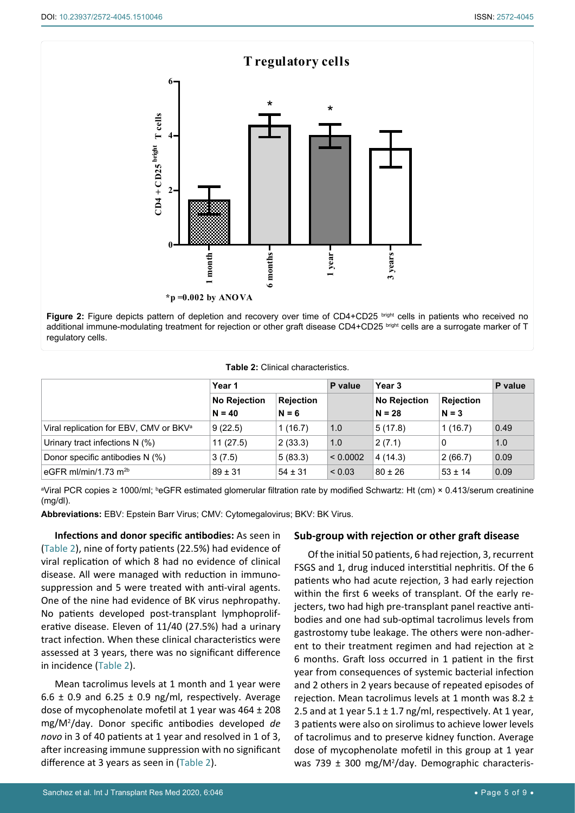<span id="page-4-0"></span>

regulatory cells.

#### <span id="page-4-1"></span>**Table 2:** Clinical characteristics.

|                                                    | Year 1                          |                             | P value     | Year 3                          |                             | P value |
|----------------------------------------------------|---------------------------------|-----------------------------|-------------|---------------------------------|-----------------------------|---------|
|                                                    | <b>No Rejection</b><br>$N = 40$ | <b>Rejection</b><br>$N = 6$ |             | <b>No Rejection</b><br>$N = 28$ | <b>Rejection</b><br>$N = 3$ |         |
| Viral replication for EBV, CMV or BKV <sup>a</sup> | 9(22.5)                         | 1(16.7)                     | 1.0         | 5(17.8)                         | 1(16.7)                     | 0.49    |
| Urinary tract infections $N$ (%)                   | 11(27.5)                        | 2(33.3)                     | 1.0         | 2(7.1)                          | 0                           | 1.0     |
| Donor specific antibodies N (%)                    | 3(7.5)                          | 5(83.3)                     | < 0.0002    | 4(14.3)                         | 2(66.7)                     | 0.09    |
| eGFR ml/min/1.73 $m2b$                             | $89 \pm 31$                     | $54 \pm 31$                 | ${}_{0.03}$ | $80 \pm 26$                     | $53 \pm 14$                 | 0.09    |

ªViral PCR copies ≥ 1000/ml; <sup>b</sup>eGFR estimated glomerular filtration rate by modified Schwartz: Ht (cm) × 0.413/serum creatinine (mg/dl).

**Abbreviations:** EBV: Epstein Barr Virus; CMV: Cytomegalovirus; BKV: BK Virus.

**Infections and donor specific antibodies:** As seen in ([Table 2](#page-4-1)), nine of forty patients (22.5%) had evidence of viral replication of which 8 had no evidence of clinical disease. All were managed with reduction in immunosuppression and 5 were treated with anti-viral agents. One of the nine had evidence of BK virus nephropathy. No patients developed post-transplant lymphoproliferative disease. Eleven of 11/40 (27.5%) had a urinary tract infection. When these clinical characteristics were assessed at 3 years, there was no significant difference in incidence ([Table 2](#page-4-1)).

Mean tacrolimus levels at 1 month and 1 year were  $6.6 \pm 0.9$  and  $6.25 \pm 0.9$  ng/ml, respectively. Average dose of mycophenolate mofetil at 1 year was  $464 \pm 208$ mg/M2 /day. Donor specific antibodies developed *de novo* in 3 of 40 patients at 1 year and resolved in 1 of 3, after increasing immune suppression with no significant difference at 3 years as seen in ([Table 2](#page-4-1)).

# **Sub-group with rejection or other graft disease**

Of the initial 50 patients, 6 had rejection, 3, recurrent FSGS and 1, drug induced interstitial nephritis. Of the 6 patients who had acute rejection, 3 had early rejection within the first 6 weeks of transplant. Of the early rejecters, two had high pre-transplant panel reactive antibodies and one had sub-optimal tacrolimus levels from gastrostomy tube leakage. The others were non-adherent to their treatment regimen and had rejection at ≥ 6 months. Graft loss occurred in 1 patient in the first year from consequences of systemic bacterial infection and 2 others in 2 years because of repeated episodes of rejection. Mean tacrolimus levels at 1 month was 8.2  $\pm$ 2.5 and at 1 year  $5.1 \pm 1.7$  ng/ml, respectively. At 1 year, 3 patients were also on sirolimus to achieve lower levels of tacrolimus and to preserve kidney function. Average dose of mycophenolate mofetil in this group at 1 year was 739 ± 300 mg/M2 /day. Demographic characteris-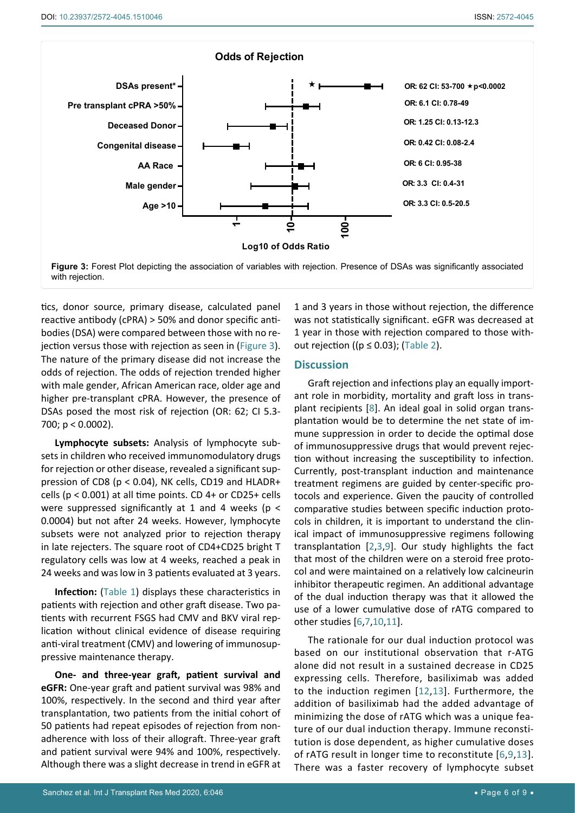<span id="page-5-0"></span>

tics, donor source, primary disease, calculated panel reactive antibody (cPRA) > 50% and donor specific antibodies (DSA) were compared between those with no rejection versus those with rejection as seen in ([Figure 3](#page-5-0)). The nature of the primary disease did not increase the odds of rejection. The odds of rejection trended higher with male gender, African American race, older age and higher pre-transplant cPRA. However, the presence of DSAs posed the most risk of rejection (OR: 62; CI 5.3- 700; p < 0.0002).

**Lymphocyte subsets:** Analysis of lymphocyte subsets in children who received immunomodulatory drugs for rejection or other disease, revealed a significant suppression of CD8 (p < 0.04), NK cells, CD19 and HLADR+ cells ( $p < 0.001$ ) at all time points. CD 4+ or CD25+ cells were suppressed significantly at 1 and 4 weeks ( $p <$ 0.0004) but not after 24 weeks. However, lymphocyte subsets were not analyzed prior to rejection therapy in late rejecters. The square root of CD4+CD25 bright T regulatory cells was low at 4 weeks, reached a peak in 24 weeks and was low in 3 patients evaluated at 3 years.

**Infection:** [\(Table 1\)](#page-2-0) displays these characteristics in patients with rejection and other graft disease. Two patients with recurrent FSGS had CMV and BKV viral replication without clinical evidence of disease requiring anti-viral treatment (CMV) and lowering of immunosuppressive maintenance therapy.

**One- and three-year graft, patient survival and eGFR:** One-year graft and patient survival was 98% and 100%, respectively. In the second and third year after transplantation, two patients from the initial cohort of 50 patients had repeat episodes of rejection from nonadherence with loss of their allograft. Three-year graft and patient survival were 94% and 100%, respectively. Although there was a slight decrease in trend in eGFR at

1 and 3 years in those without rejection, the difference was not statistically significant. eGFR was decreased at 1 year in those with rejection compared to those without rejection (( $p \le 0.03$ ); [\(Table 2\)](#page-4-1).

## **Discussion**

Graft rejection and infections play an equally important role in morbidity, mortality and graft loss in transplant recipients [\[8\]](#page-7-7). An ideal goal in solid organ transplantation would be to determine the net state of immune suppression in order to decide the optimal dose of immunosuppressive drugs that would prevent rejection without increasing the susceptibility to infection. Currently, post-transplant induction and maintenance treatment regimens are guided by center-specific protocols and experience. Given the paucity of controlled comparative studies between specific induction protocols in children, it is important to understand the clinical impact of immunosuppressive regimens following transplantation [\[2](#page-7-3),[3](#page-7-4),[9](#page-7-8)]. Our study highlights the fact that most of the children were on a steroid free protocol and were maintained on a relatively low calcineurin inhibitor therapeutic regimen. An additional advantage of the dual induction therapy was that it allowed the use of a lower cumulative dose of rATG compared to other studies [\[6](#page-7-1),[7](#page-7-2),[10](#page-7-9),[11](#page-7-10)].

The rationale for our dual induction protocol was based on our institutional observation that r-ATG alone did not result in a sustained decrease in CD25 expressing cells. Therefore, basiliximab was added to the induction regimen [[12](#page-7-11),[13\]](#page-7-12). Furthermore, the addition of basiliximab had the added advantage of minimizing the dose of rATG which was a unique feature of our dual induction therapy. Immune reconstitution is dose dependent, as higher cumulative doses of rATG result in longer time to reconstitute [\[6](#page-7-1),[9](#page-7-8),[13](#page-7-12)]. There was a faster recovery of lymphocyte subset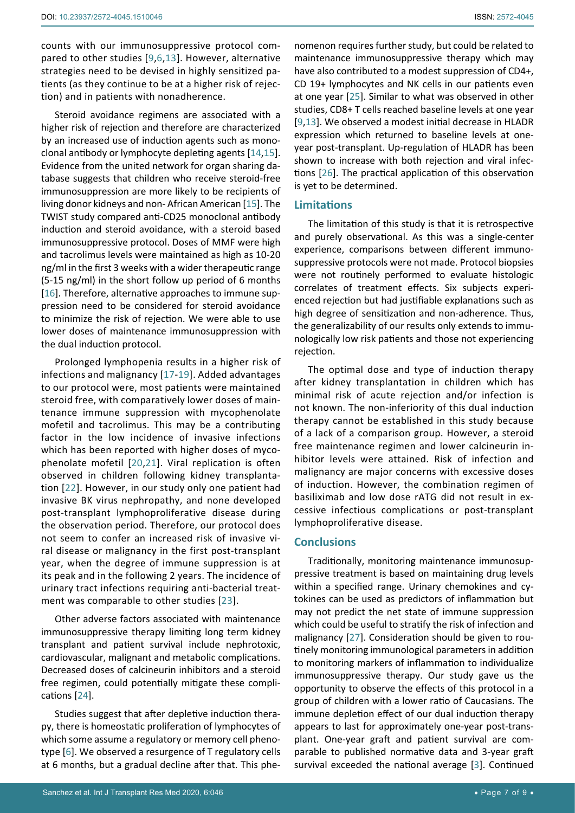counts with our immunosuppressive protocol compared to other studies [[9](#page-7-8),[6](#page-7-1),[13\]](#page-7-12). However, alternative strategies need to be devised in highly sensitized patients (as they continue to be at a higher risk of rejection) and in patients with nonadherence.

Steroid avoidance regimens are associated with a higher risk of rejection and therefore are characterized by an increased use of induction agents such as monoclonal antibody or lymphocyte depleting agents [\[14](#page-7-13),[15](#page-7-14)]. Evidence from the united network for organ sharing database suggests that children who receive steroid-free immunosuppression are more likely to be recipients of living donor kidneys and non- African American [[15](#page-7-14)]. The TWIST study compared anti-CD25 monoclonal antibody induction and steroid avoidance, with a steroid based immunosuppressive protocol. Doses of MMF were high and tacrolimus levels were maintained as high as 10-20 ng/ml in the first 3 weeks with a wider therapeutic range (5-15 ng/ml) in the short follow up period of 6 months [[16](#page-7-15)]. Therefore, alternative approaches to immune suppression need to be considered for steroid avoidance to minimize the risk of rejection. We were able to use lower doses of maintenance immunosuppression with the dual induction protocol.

Prolonged lymphopenia results in a higher risk of infections and malignancy [\[17](#page-7-16)-[19](#page-7-17)]. Added advantages to our protocol were, most patients were maintained steroid free, with comparatively lower doses of maintenance immune suppression with mycophenolate mofetil and tacrolimus. This may be a contributing factor in the low incidence of invasive infections which has been reported with higher doses of mycophenolate mofetil [[20](#page-7-18),[21](#page-7-19)]. Viral replication is often observed in children following kidney transplantation [[22](#page-7-20)]. However, in our study only one patient had invasive BK virus nephropathy, and none developed post-transplant lymphoproliferative disease during the observation period. Therefore, our protocol does not seem to confer an increased risk of invasive viral disease or malignancy in the first post-transplant year, when the degree of immune suppression is at its peak and in the following 2 years. The incidence of urinary tract infections requiring anti-bacterial treatment was comparable to other studies [\[23\]](#page-8-3).

Other adverse factors associated with maintenance immunosuppressive therapy limiting long term kidney transplant and patient survival include nephrotoxic, cardiovascular, malignant and metabolic complications. Decreased doses of calcineurin inhibitors and a steroid free regimen, could potentially mitigate these complications [\[24](#page-8-4)].

Studies suggest that after depletive induction therapy, there is homeostatic proliferation of lymphocytes of which some assume a regulatory or memory cell phenotype [\[6\]](#page-7-1). We observed a resurgence of T regulatory cells at 6 months, but a gradual decline after that. This phe-

nomenon requires further study, but could be related to maintenance immunosuppressive therapy which may have also contributed to a modest suppression of CD4+, CD 19+ lymphocytes and NK cells in our patients even at one year [[25](#page-8-0)]. Similar to what was observed in other studies, CD8+ T cells reached baseline levels at one year [[9](#page-7-8),[13\]](#page-7-12). We observed a modest initial decrease in HLADR expression which returned to baseline levels at oneyear post-transplant. Up-regulation of HLADR has been shown to increase with both rejection and viral infections [\[26](#page-8-1)]. The practical application of this observation is yet to be determined.

## **Limitations**

The limitation of this study is that it is retrospective and purely observational. As this was a single-center experience, comparisons between different immunosuppressive protocols were not made. Protocol biopsies were not routinely performed to evaluate histologic correlates of treatment effects. Six subjects experienced rejection but had justifiable explanations such as high degree of sensitization and non-adherence. Thus, the generalizability of our results only extends to immunologically low risk patients and those not experiencing rejection.

The optimal dose and type of induction therapy after kidney transplantation in children which has minimal risk of acute rejection and/or infection is not known. The non-inferiority of this dual induction therapy cannot be established in this study because of a lack of a comparison group. However, a steroid free maintenance regimen and lower calcineurin inhibitor levels were attained. Risk of infection and malignancy are major concerns with excessive doses of induction. However, the combination regimen of basiliximab and low dose rATG did not result in excessive infectious complications or post-transplant lymphoproliferative disease.

# **Conclusions**

Traditionally, monitoring maintenance immunosuppressive treatment is based on maintaining drug levels within a specified range. Urinary chemokines and cytokines can be used as predictors of inflammation but may not predict the net state of immune suppression which could be useful to stratify the risk of infection and malignancy [[27\]](#page-8-2). Consideration should be given to routinely monitoring immunological parameters in addition to monitoring markers of inflammation to individualize immunosuppressive therapy. Our study gave us the opportunity to observe the effects of this protocol in a group of children with a lower ratio of Caucasians. The immune depletion effect of our dual induction therapy appears to last for approximately one-year post-transplant. One-year graft and patient survival are comparable to published normative data and 3-year graft survival exceeded the national average [[3](#page-7-4)]. Continued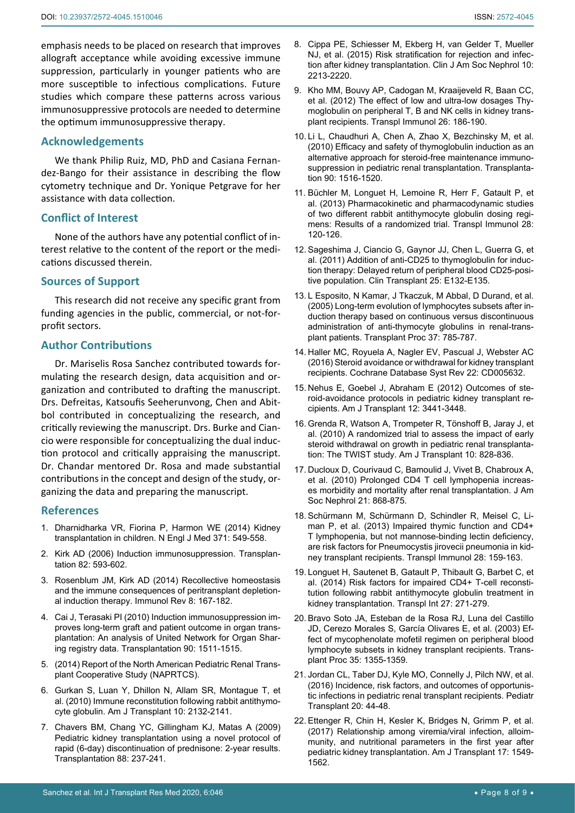emphasis needs to be placed on research that improves allograft acceptance while avoiding excessive immune suppression, particularly in younger patients who are more susceptible to infectious complications. Future studies which compare these patterns across various immunosuppressive protocols are needed to determine the optimum immunosuppressive therapy.

### **Acknowledgements**

We thank Philip Ruiz, MD, PhD and Casiana Fernandez-Bango for their assistance in describing the flow cytometry technique and Dr. Yonique Petgrave for her assistance with data collection.

# **Conflict of Interest**

None of the authors have any potential conflict of interest relative to the content of the report or the medications discussed therein.

### **Sources of Support**

This research did not receive any specific grant from funding agencies in the public, commercial, or not-forprofit sectors.

# **Author Contributions**

Dr. Mariselis Rosa Sanchez contributed towards formulating the research design, data acquisition and organization and contributed to drafting the manuscript. Drs. Defreitas, Katsoufis Seeherunvong, Chen and Abitbol contributed in conceptualizing the research, and critically reviewing the manuscript. Drs. Burke and Ciancio were responsible for conceptualizing the dual induction protocol and critically appraising the manuscript. Dr. Chandar mentored Dr. Rosa and made substantial contributions in the concept and design of the study, organizing the data and preparing the manuscript.

#### **References**

- <span id="page-7-0"></span>1. [Dharnidharka VR, Fiorina P, Harmon WE \(2014\) Kidney](https://www.ncbi.nlm.nih.gov/pubmed/25099579)  [transplantation in children. N Engl J Med 371: 549-558.](https://www.ncbi.nlm.nih.gov/pubmed/25099579)
- <span id="page-7-3"></span>2. [Kirk AD \(2006\) Induction immunosuppression. Transplan](https://www.ncbi.nlm.nih.gov/pubmed/16969280)[tation 82: 593-602.](https://www.ncbi.nlm.nih.gov/pubmed/16969280)
- <span id="page-7-4"></span>3. [Rosenblum JM, Kirk AD \(2014\) Recollective homeostasis](https://www.ncbi.nlm.nih.gov/pubmed/24517433)  [and the immune consequences of peritransplant depletion](https://www.ncbi.nlm.nih.gov/pubmed/24517433)[al induction therapy. Immunol Rev 8: 167-182.](https://www.ncbi.nlm.nih.gov/pubmed/24517433)
- <span id="page-7-5"></span>4. [Cai J, Terasaki PI \(2010\) Induction immunosuppression im](https://www.ncbi.nlm.nih.gov/pubmed/21057388)[proves long-term graft and patient outcome in organ trans](https://www.ncbi.nlm.nih.gov/pubmed/21057388)[plantation: An analysis of United Network for Organ Shar](https://www.ncbi.nlm.nih.gov/pubmed/21057388)[ing registry data. Transplantation 90: 1511-1515.](https://www.ncbi.nlm.nih.gov/pubmed/21057388)
- <span id="page-7-6"></span>5. (2014) Report of the North American Pediatric Renal Transplant Cooperative Study (NAPRTCS).
- <span id="page-7-1"></span>6. [Gurkan S, Luan Y, Dhillon N, Allam SR, Montague T, et](https://www.ncbi.nlm.nih.gov/pubmed/20883548)  [al. \(2010\) Immune reconstitution following rabbit antithymo](https://www.ncbi.nlm.nih.gov/pubmed/20883548)[cyte globulin. Am J Transplant 10: 2132-2141.](https://www.ncbi.nlm.nih.gov/pubmed/20883548)
- <span id="page-7-2"></span>7. [Chavers BM, Chang YC, Gillingham KJ, Matas A \(2009\)](https://www.ncbi.nlm.nih.gov/pubmed/19623020)  [Pediatric kidney transplantation using a novel protocol of](https://www.ncbi.nlm.nih.gov/pubmed/19623020)  [rapid \(6-day\) discontinuation of prednisone: 2-year results.](https://www.ncbi.nlm.nih.gov/pubmed/19623020)  [Transplantation 88: 237-241.](https://www.ncbi.nlm.nih.gov/pubmed/19623020)
- <span id="page-7-7"></span>8. [Cippa PE, Schiesser M, Ekberg H, van Gelder T, Mueller](https://www.ncbi.nlm.nih.gov/pubmed/26430088)  [NJ, et al. \(2015\) Risk stratification for rejection and infec](https://www.ncbi.nlm.nih.gov/pubmed/26430088)[tion after kidney transplantation. Clin J Am Soc Nephrol 10:](https://www.ncbi.nlm.nih.gov/pubmed/26430088)  [2213-2220.](https://www.ncbi.nlm.nih.gov/pubmed/26430088)
- <span id="page-7-8"></span>9. [Kho MM, Bouvy AP, Cadogan M, Kraaijeveld R, Baan CC,](https://www.ncbi.nlm.nih.gov/pubmed/22410573)  [et al. \(2012\) The effect of low and ultra-low dosages Thy](https://www.ncbi.nlm.nih.gov/pubmed/22410573)[moglobulin on peripheral T, B and NK cells in kidney trans](https://www.ncbi.nlm.nih.gov/pubmed/22410573)[plant recipients. Transpl Immunol 26: 186-190.](https://www.ncbi.nlm.nih.gov/pubmed/22410573)
- <span id="page-7-9"></span>10. [Li L, Chaudhuri A, Chen A, Zhao X, Bezchinsky M, et al.](https://www.ncbi.nlm.nih.gov/pubmed/20935596)  [\(2010\) Efficacy and safety of thymoglobulin induction as an](https://www.ncbi.nlm.nih.gov/pubmed/20935596)  [alternative approach for steroid-free maintenance immuno](https://www.ncbi.nlm.nih.gov/pubmed/20935596)[suppression in pediatric renal transplantation. Transplanta](https://www.ncbi.nlm.nih.gov/pubmed/20935596)[tion 90: 1516-1520.](https://www.ncbi.nlm.nih.gov/pubmed/20935596)
- <span id="page-7-10"></span>11. [Büchler M, Longuet H, Lemoine R, Herr F, Gatault P, et](https://www.ncbi.nlm.nih.gov/pubmed/23507258)  [al. \(2013\) Pharmacokinetic and pharmacodynamic studies](https://www.ncbi.nlm.nih.gov/pubmed/23507258)  [of two different rabbit antithymocyte globulin dosing regi](https://www.ncbi.nlm.nih.gov/pubmed/23507258)[mens: Results of a randomized trial. Transpl Immunol 28:](https://www.ncbi.nlm.nih.gov/pubmed/23507258)  [120-126.](https://www.ncbi.nlm.nih.gov/pubmed/23507258)
- <span id="page-7-11"></span>12. [Sageshima J, Ciancio G, Gaynor JJ, Chen L, Guerra G, et](https://www.ncbi.nlm.nih.gov/pubmed/21083765)  [al. \(2011\) Addition of anti-CD25 to thymoglobulin for induc](https://www.ncbi.nlm.nih.gov/pubmed/21083765)[tion therapy: Delayed return of peripheral blood CD25-posi](https://www.ncbi.nlm.nih.gov/pubmed/21083765)[tive population. Clin Transplant 25: E132-E135.](https://www.ncbi.nlm.nih.gov/pubmed/21083765)
- <span id="page-7-12"></span>13. [L Esposito, N Kamar, J Tkaczuk, M Abbal, D Durand, et al.](https://www.ncbi.nlm.nih.gov/pubmed/15848531)  [\(2005\) Long-term evolution of lymphocytes subsets after in](https://www.ncbi.nlm.nih.gov/pubmed/15848531)[duction therapy based on continuous versus discontinuous](https://www.ncbi.nlm.nih.gov/pubmed/15848531)  [administration of anti-thymocyte globulins in renal-trans](https://www.ncbi.nlm.nih.gov/pubmed/15848531)[plant patients. Transplant Proc 37: 785-787.](https://www.ncbi.nlm.nih.gov/pubmed/15848531)
- <span id="page-7-13"></span>14. [Haller MC, Royuela A, Nagler EV, Pascual J, Webster AC](https://www.ncbi.nlm.nih.gov/pubmed/27546100)  [\(2016\) Steroid avoidance or withdrawal for kidney transplant](https://www.ncbi.nlm.nih.gov/pubmed/27546100)  [recipients. Cochrane Database Syst Rev 22: CD005632.](https://www.ncbi.nlm.nih.gov/pubmed/27546100)
- <span id="page-7-14"></span>15. [Nehus E, Goebel J, Abraham E \(2012\) Outcomes of ste](https://www.ncbi.nlm.nih.gov/pubmed/22994143)[roid-avoidance protocols in pediatric kidney transplant re](https://www.ncbi.nlm.nih.gov/pubmed/22994143)[cipients. Am J Transplant 12: 3441-3448.](https://www.ncbi.nlm.nih.gov/pubmed/22994143)
- <span id="page-7-15"></span>16. [Grenda R, Watson A, Trompeter R, Tönshoff B, Jaray J, et](https://www.ncbi.nlm.nih.gov/pubmed/20420639)  [al. \(2010\) A randomized trial to assess the impact of early](https://www.ncbi.nlm.nih.gov/pubmed/20420639)  [steroid withdrawal on growth in pediatric renal transplanta](https://www.ncbi.nlm.nih.gov/pubmed/20420639)[tion: The TWIST study. Am J Transplant 10: 828-836.](https://www.ncbi.nlm.nih.gov/pubmed/20420639)
- <span id="page-7-16"></span>17. [Ducloux D, Courivaud C, Bamoulid J, Vivet B, Chabroux A,](https://www.ncbi.nlm.nih.gov/pubmed/20203160)  [et al. \(2010\) Prolonged CD4 T cell lymphopenia increas](https://www.ncbi.nlm.nih.gov/pubmed/20203160)[es morbidity and mortality after renal transplantation. J Am](https://www.ncbi.nlm.nih.gov/pubmed/20203160)  [Soc Nephrol 21: 868-875.](https://www.ncbi.nlm.nih.gov/pubmed/20203160)
- 18. [Schürmann M, Schürmann D, Schindler R, Meisel C, Li](https://www.ncbi.nlm.nih.gov/pubmed/23684946)[man P, et al. \(2013\) Impaired thymic function and CD4+](https://www.ncbi.nlm.nih.gov/pubmed/23684946)  [T lymphopenia, but not mannose-binding lectin deficiency,](https://www.ncbi.nlm.nih.gov/pubmed/23684946)  [are risk factors for Pneumocystis jirovecii pneumonia in kid](https://www.ncbi.nlm.nih.gov/pubmed/23684946)[ney transplant recipients. Transpl Immunol 28: 159-163.](https://www.ncbi.nlm.nih.gov/pubmed/23684946)
- <span id="page-7-17"></span>19. [Longuet H, Sautenet B, Gatault P, Thibault G, Barbet C, et](https://www.ncbi.nlm.nih.gov/pmc/articles/PMC4282399)  [al. \(2014\) Risk factors for impaired CD4+ T-cell reconsti](https://www.ncbi.nlm.nih.gov/pmc/articles/PMC4282399)[tution following rabbit antithymocyte globulin treatment in](https://www.ncbi.nlm.nih.gov/pmc/articles/PMC4282399)  [kidney transplantation. Transpl Int 27: 271-279.](https://www.ncbi.nlm.nih.gov/pmc/articles/PMC4282399)
- <span id="page-7-18"></span>20. [Bravo Soto JA, Esteban de la Rosa RJ, Luna del Castillo](https://www.ncbi.nlm.nih.gov/pubmed/12826158)  [JD, Cerezo Morales S, García Olivares E, et al. \(2003\) Ef](https://www.ncbi.nlm.nih.gov/pubmed/12826158)[fect of mycophenolate mofetil regimen on peripheral blood](https://www.ncbi.nlm.nih.gov/pubmed/12826158)  [lymphocyte subsets in kidney transplant recipients. Trans](https://www.ncbi.nlm.nih.gov/pubmed/12826158)[plant Proc 35: 1355-1359.](https://www.ncbi.nlm.nih.gov/pubmed/12826158)
- <span id="page-7-19"></span>21. [Jordan CL, Taber DJ, Kyle MO, Connelly J, Pilch NW, et al.](https://www.ncbi.nlm.nih.gov/pubmed/26576516)  [\(2016\) Incidence, risk factors, and outcomes of opportunis](https://www.ncbi.nlm.nih.gov/pubmed/26576516)[tic infections in pediatric renal transplant recipients. Pediatr](https://www.ncbi.nlm.nih.gov/pubmed/26576516)  [Transplant 20: 44-48.](https://www.ncbi.nlm.nih.gov/pubmed/26576516)
- <span id="page-7-20"></span>22. [Ettenger R, Chin H, Kesler K, Bridges N, Grimm P, et al.](https://www.ncbi.nlm.nih.gov/pubmed/27989013)  [\(2017\) Relationship among viremia/viral infection, alloim](https://www.ncbi.nlm.nih.gov/pubmed/27989013)[munity, and nutritional parameters in the first year after](https://www.ncbi.nlm.nih.gov/pubmed/27989013)  [pediatric kidney transplantation. Am J Transplant 17: 1549-](https://www.ncbi.nlm.nih.gov/pubmed/27989013) [1562.](https://www.ncbi.nlm.nih.gov/pubmed/27989013)